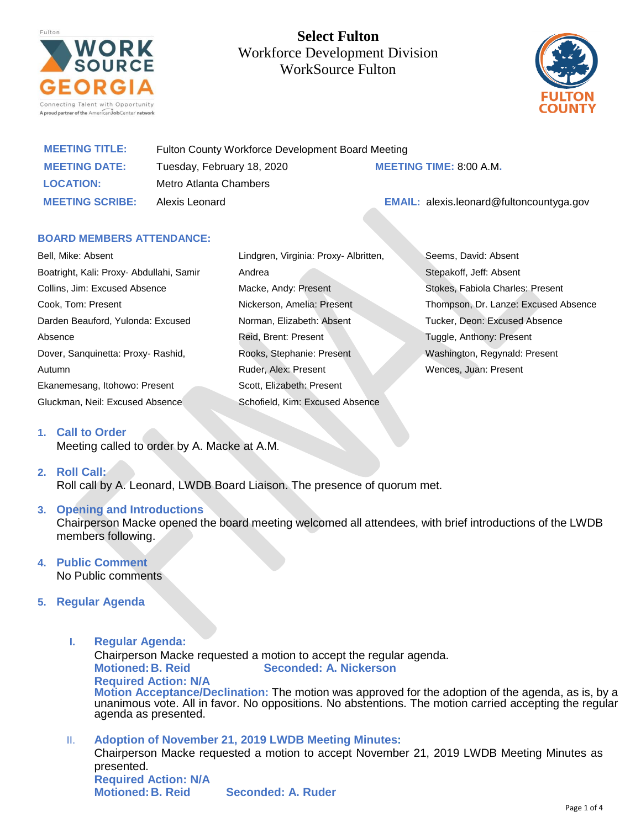

# **Select Fulton**  Workforce Development Division WorkSource Fulton



| <b>MEETING TITLE:</b>  | Fulton County Workforce Development Board Meeting |                                                 |
|------------------------|---------------------------------------------------|-------------------------------------------------|
| <b>MEETING DATE:</b>   | Tuesday, February 18, 2020                        | <b>MEETING TIME: 8:00 A.M.</b>                  |
| <b>LOCATION:</b>       | Metro Atlanta Chambers                            |                                                 |
| <b>MEETING SCRIBE:</b> | Alexis Leonard                                    | <b>EMAIL:</b> alexis.leonard@fultoncountyga.gov |

# **BOARD MEMBERS ATTENDANCE:**

Bell, Mike: Absent Boatright, Kali: Proxy- Abdullahi, Samir Collins, Jim: Excused Absence Cook, Tom: Present Darden Beauford, Yulonda: Excused Absence Dover, Sanquinetta: Proxy- Rashid, Autumn Ekanemesang, Itohowo: Present Gluckman, Neil: Excused Absence

Lindgren, Virginia: Proxy- Albritten, Andrea Macke, Andy: Present Nickerson, Amelia: Present Norman, Elizabeth: Absent Reid, Brent: Present Rooks, Stephanie: Present Ruder, Alex: Present Scott, Elizabeth: Present Schofield, Kim: Excused Absence

Seems, David: Absent Stepakoff, Jeff: Absent Stokes, Fabiola Charles: Present Thompson, Dr. Lanze: Excused Absence Tucker, Deon: Excused Absence Tuggle, Anthony: Present Washington, Regynald: Present Wences, Juan: Present

# **1. Call to Order**

Meeting called to order by A. Macke at A.M.

# **2. Roll Call:**

Roll call by A. Leonard, LWDB Board Liaison. The presence of quorum met.

# **3. Opening and Introductions**

Chairperson Macke opened the board meeting welcomed all attendees, with brief introductions of the LWDB members following.

# **4. Public Comment**

No Public comments

# **5. Regular Agenda**

- **I. Regular Agenda:** Chairperson Macke requested a motion to accept the regular agenda. **Motioned:B. Reid Seconded: A. Nickerson Required Action: N/A Motion Acceptance/Declination:** The motion was approved for the adoption of the agenda, as is, by a unanimous vote. All in favor. No oppositions. No abstentions. The motion carried accepting the regular agenda as presented.
- II. **Adoption of November 21, 2019 LWDB Meeting Minutes:** Chairperson Macke requested a motion to accept November 21, 2019 LWDB Meeting Minutes as presented. **Required Action: N/A Motioned:B. Reid Seconded: A. Ruder**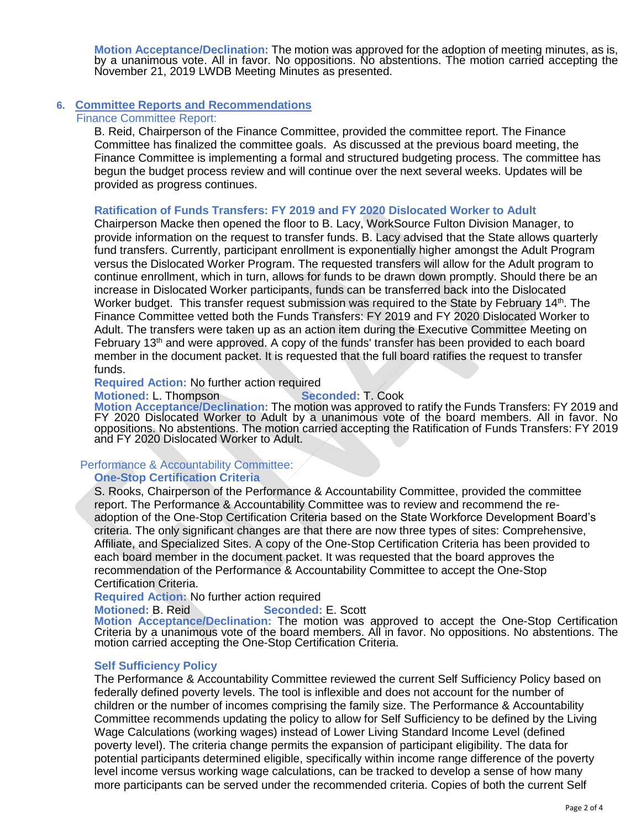**Motion Acceptance/Declination:** The motion was approved for the adoption of meeting minutes, as is, by a unanimous vote. All in favor. No oppositions. No abstentions. The motion carried accepting the November 21, 2019 LWDB Meeting Minutes as presented.

## **6. Committee Reports and Recommendations**

Finance Committee Report:

B. Reid, Chairperson of the Finance Committee, provided the committee report. The Finance Committee has finalized the committee goals. As discussed at the previous board meeting, the Finance Committee is implementing a formal and structured budgeting process. The committee has begun the budget process review and will continue over the next several weeks. Updates will be provided as progress continues.

# **Ratification of Funds Transfers: FY 2019 and FY 2020 Dislocated Worker to Adult**

Chairperson Macke then opened the floor to B. Lacy, WorkSource Fulton Division Manager, to provide information on the request to transfer funds. B. Lacy advised that the State allows quarterly fund transfers. Currently, participant enrollment is exponentially higher amongst the Adult Program versus the Dislocated Worker Program. The requested transfers will allow for the Adult program to continue enrollment, which in turn, allows for funds to be drawn down promptly. Should there be an increase in Dislocated Worker participants, funds can be transferred back into the Dislocated Worker budget. This transfer request submission was required to the State by February 14<sup>th</sup>. The Finance Committee vetted both the Funds Transfers: FY 2019 and FY 2020 Dislocated Worker to Adult. The transfers were taken up as an action item during the Executive Committee Meeting on February 13th and were approved. A copy of the funds' transfer has been provided to each board member in the document packet. It is requested that the full board ratifies the request to transfer funds.

#### **Required Action:** No further action required

#### **Motioned:** L. Thompson **Seconded:** T. Cook

**Motion Acceptance/Declination:** The motion was approved to ratify the Funds Transfers: FY 2019 and FY 2020 Dislocated Worker to Adult by a unanimous vote of the board members. All in favor. No oppositions. No abstentions. The motion carried accepting the Ratification of Funds Transfers: FY 2019 and FY 2020 Dislocated Worker to Adult.

# Performance & Accountability Committee:

# **One-Stop Certification Criteria**

S. Rooks, Chairperson of the Performance & Accountability Committee, provided the committee report. The Performance & Accountability Committee was to review and recommend the readoption of the One-Stop Certification Criteria based on the State Workforce Development Board's criteria. The only significant changes are that there are now three types of sites: Comprehensive, Affiliate, and Specialized Sites. A copy of the One-Stop Certification Criteria has been provided to each board member in the document packet. It was requested that the board approves the recommendation of the Performance & Accountability Committee to accept the One-Stop Certification Criteria.

#### **Required Action:** No further action required

#### **Motioned:** B. Reid **Seconded:** E. Scott

**Motion Acceptance/Declination:** The motion was approved to accept the One-Stop Certification Criteria by a unanimous vote of the board members. All in favor. No oppositions. No abstentions. The motion carried accepting the One-Stop Certification Criteria.

#### **Self Sufficiency Policy**

The Performance & Accountability Committee reviewed the current Self Sufficiency Policy based on federally defined poverty levels. The tool is inflexible and does not account for the number of children or the number of incomes comprising the family size. The Performance & Accountability Committee recommends updating the policy to allow for Self Sufficiency to be defined by the Living Wage Calculations (working wages) instead of Lower Living Standard Income Level (defined poverty level). The criteria change permits the expansion of participant eligibility. The data for potential participants determined eligible, specifically within income range difference of the poverty level income versus working wage calculations, can be tracked to develop a sense of how many more participants can be served under the recommended criteria. Copies of both the current Self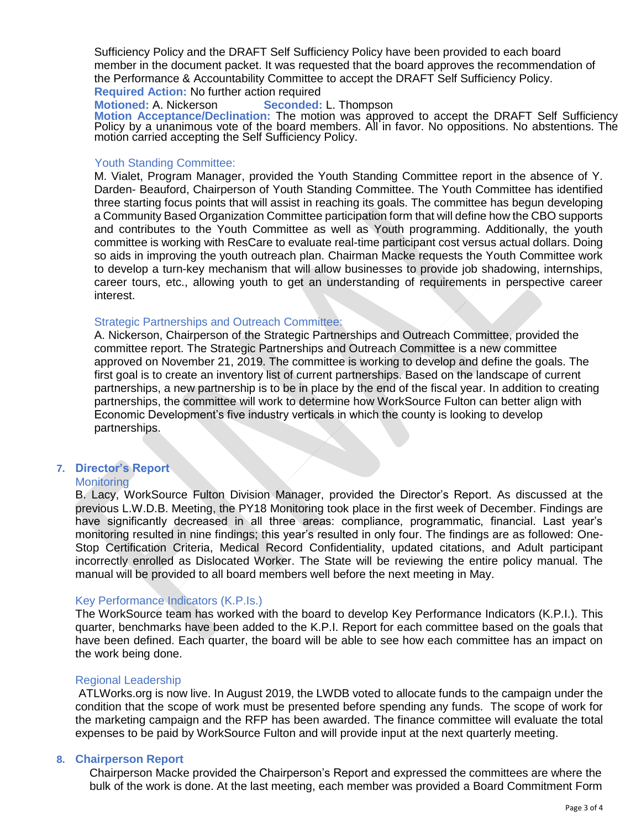Sufficiency Policy and the DRAFT Self Sufficiency Policy have been provided to each board member in the document packet. It was requested that the board approves the recommendation of the Performance & Accountability Committee to accept the DRAFT Self Sufficiency Policy. **Required Action:** No further action required

**Motioned:** A. Nickerson **Seconded:** L. Thompson **Motion Acceptance/Declination:** The motion was approved to accept the DRAFT Self Sufficiency Policy by a unanimous vote of the board members. All in favor. No oppositions. No abstentions. The motion carried accepting the Self Sufficiency Policy.

## Youth Standing Committee:

M. Vialet, Program Manager, provided the Youth Standing Committee report in the absence of Y. Darden- Beauford, Chairperson of Youth Standing Committee. The Youth Committee has identified three starting focus points that will assist in reaching its goals. The committee has begun developing a Community Based Organization Committee participation form that will define how the CBO supports and contributes to the Youth Committee as well as Youth programming. Additionally, the youth committee is working with ResCare to evaluate real-time participant cost versus actual dollars. Doing so aids in improving the youth outreach plan. Chairman Macke requests the Youth Committee work to develop a turn-key mechanism that will allow businesses to provide job shadowing, internships, career tours, etc., allowing youth to get an understanding of requirements in perspective career interest.

#### Strategic Partnerships and Outreach Committee:

A. Nickerson, Chairperson of the Strategic Partnerships and Outreach Committee, provided the committee report. The Strategic Partnerships and Outreach Committee is a new committee approved on November 21, 2019. The committee is working to develop and define the goals. The first goal is to create an inventory list of current partnerships. Based on the landscape of current partnerships, a new partnership is to be in place by the end of the fiscal year. In addition to creating partnerships, the committee will work to determine how WorkSource Fulton can better align with Economic Development's five industry verticals in which the county is looking to develop partnerships.

# **7. Director's Report**

# **Monitoring**

B. Lacy, WorkSource Fulton Division Manager, provided the Director's Report. As discussed at the previous L.W.D.B. Meeting, the PY18 Monitoring took place in the first week of December. Findings are have significantly decreased in all three areas: compliance, programmatic, financial. Last year's monitoring resulted in nine findings; this year's resulted in only four. The findings are as followed: One-Stop Certification Criteria, Medical Record Confidentiality, updated citations, and Adult participant incorrectly enrolled as Dislocated Worker. The State will be reviewing the entire policy manual. The manual will be provided to all board members well before the next meeting in May.

# Key Performance Indicators (K.P.Is.)

The WorkSource team has worked with the board to develop Key Performance Indicators (K.P.I.). This quarter, benchmarks have been added to the K.P.I. Report for each committee based on the goals that have been defined. Each quarter, the board will be able to see how each committee has an impact on the work being done.

# Regional Leadership

ATLWorks.org is now live. In August 2019, the LWDB voted to allocate funds to the campaign under the condition that the scope of work must be presented before spending any funds. The scope of work for the marketing campaign and the RFP has been awarded. The finance committee will evaluate the total expenses to be paid by WorkSource Fulton and will provide input at the next quarterly meeting.

# **8. Chairperson Report**

Chairperson Macke provided the Chairperson's Report and expressed the committees are where the bulk of the work is done. At the last meeting, each member was provided a Board Commitment Form